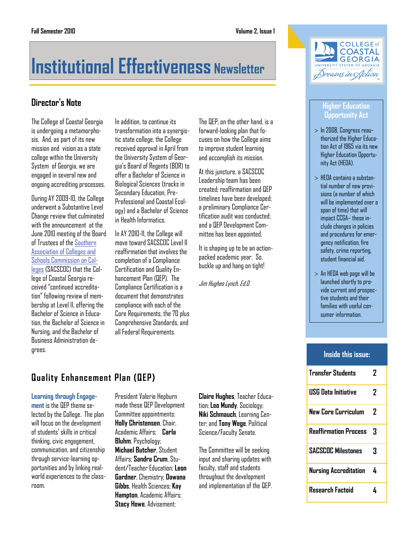# **Institutional Effectiveness Newsletter**

# **Director's Note**

The College of Coastal Georgia is undergoing a metamorphosis. And, as part of its new mission and vision as a state college within the University System of Georgia, we are engaged in several new and ongoing accrediting processes.

During AY 2009-10, the College underwent a Substantive Level Change review that culminated with the announcement at the June 2010 meeting of the Board of Trustees of the [Southern](http://www.sacscoc.org)  [Association of Colleges and](http://www.sacscoc.org)  [Schools Commission on Col](http://www.sacscoc.org)[leges](http://www.sacscoc.org) (SACSCOC) that the College of Coastal Georgia received "continued accreditation" following review of membership at Level II, offering the Bachelor of Science in Education, the Bachelor of Science in Nursing, and the Bachelor of Business Administration degrees.

In addition, to continue its transformation into a synergistic state college, the College received approval in April from the University System of Georgia's Board of Regents (BOR) to offer a Bachelor of Science in Biological Sciences (tracks in Secondary Education, Pre-Professional and Coastal Ecology) and a Bachelor of Science in Health Informatics.

In AY 2010-11, the College will move toward SACSCOC Level II reaffirmation that involves the completion of a Compliance Certification and Quality Enhancement Plan (QEP). The Compliance Certification is a document that demonstrates compliance with each of the Core Requirements, the 70 plus Comprehensive Standards, and all Federal Requirements.

The QFP, on the other hand, is a forward-looking plan that focuses on how the College aims to improve student learning and accomplish its mission.

At this juncture, a SACSCOC Leadership team has been created; reaffirmation and QEP timelines have been developed; a preliminary Compliance Certification audit was conducted; and a QEP Development Committee has been appointed.

It is shaping up to be an actionpacked academic year. So, buckle up and hang on tight!

Jim Hughes Lynch, Ed.D.



#### **Higher Education Opportunity Act**

- $>$  In 2008, Congress reauthorized the Higher Education Act of 1965 via its new Higher Education Opportunity Act (HEOA).
- $>$  HEOA contains a substantial number of new provisions (a number of which will be implemented over a span of time) that will impact CCGA– these include changes in policies and procedures for emergency notification, fire safety, crime reporting, student financial aid.
- $>$  An HEOA web page will be launched shortly to provide current and prospective students and their families with useful consumer information.

# **Inside this issue:**

| <b>Transfer Students</b>     | 7  |
|------------------------------|----|
| <b>USG Data Initiative</b>   | 7  |
| New Core Curriculum          | 7  |
| <b>Reaffirmation Process</b> | 3  |
| <b>SACSCOC Milestones</b>    | 3  |
| Nursing Accreditation        | Δ. |
| <b>Research Factoid</b>      |    |

# **Quality Enhancement Plan (QEP)**

#### **Learning through Engage-**

**ment** is the QEP theme selected by the College. The plan will focus on the development of students' skills in critical thinking, civic engagement, communication, and citizenship through service-learning opportunities and by linking realworld experiences to the classroom.

President Valerie Hepburn made these QEP Development Committee appointments: **Holly Christensen**, Chair, Academic Affairs; **Carla Bluhm**, Psychology; **Michael Butcher**, Student Affairs; **Sandra Crum**, Student/Teacher Education; **Leon Gardner**, Chemistry; **Dawana Gibbs**, Health Sciences; **Kay Hampton**, Academic Affairs; **Stacy Howe**, Advisement;

**Claire Hughes**, Teacher Education; **Leo Mundy**, Sociology; **Niki Schmauch**, Learning Center; and **Tony Wege**, Political Science/Faculty Senate.

The Committee will be seeking input and sharing updates with faculty, staff and students throughout the development and implementation of the QEP.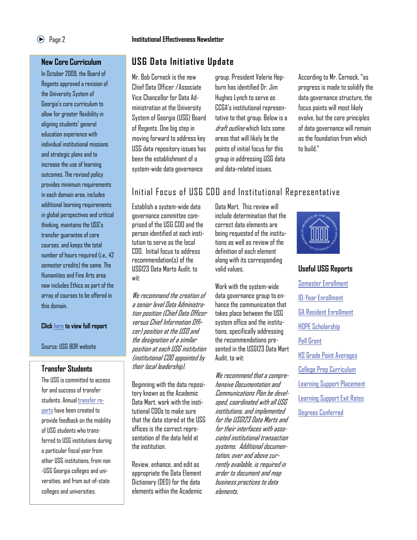# Page 2 **Institutional Effectiveness Newsletter**

# **USG Data Initiative Update**

Mr. Bob Cernock is the new Chief Data Officer /Associate Vice Chancellor for Data Administration at the University System of Georgia (USG) Board of Regents. One big step in moving forward to address key USG data repository issues has been the establishment of a system-wide data governance

group. President Valerie Hepburn has identified Dr. Jim Hughes Lynch to serve as CCGA's institutional representative to that group. Below is a draft *outline* which lists some areas that will likely be the points of initial focus for this group in addressing USG data and data-related issues.

According to Mr. Cernock, "as progress is made to solidify the data governance structure, the focus points will most likely evolve, but the core principles of data governance will remain as the foundation from which to build."

# Initial Focus of USG CDO and Institutional Representative

Establish a system-wide data governance committee comprised of the USG CDO and the person identified at each institution to serve as the local CDO. Initial focus to address. recommendation(s) of the USG123 Data Marts Audit, to wit:

We recommend the creation of a senior level Data Administration position (Chief Data Officer versus Chief Information Officer) position at the USO and the designation of a similar position at each USG institution (institutional CDO appointed by their local leadership).

Beginning with the data repository known as the Academic Data Mart, work with the institutional CDOs to make sure that the data stored at the USG offices is the correct representation of the data held at the institution.

Review, enhance, and edit as appropriate the Data Element Dictionary (DED) for the data elements within the Academic Data Mart. This review will include determination that the correct data elements are being requested of the institutions as well as review of the definition of each element along with its corresponding valid values.

Work with the system-wide data governance group to enhance the communication that takes place between the USG system office and the institutions, specifically addressing the recommendations presented in the USG123 Data Mart Audit, to wit:

We recommend that a comprehensive Documentation and Communications Plan be developed, coordinated with all USG institutions, and implemented for the USG123 Data Marts and for their interfaces with associated institutional transaction systems. Additional documentation, over and above currently available, is required in order to document and map business practices to data elements.

# **Useful USG Reports**

[Semester Enrollment](http://www.usg.edu/research/students/enroll/term.phtml) [10-Year Enrollment](http://www.usg.edu/research/students/enroll/10yr/) [GA Resident Enrollment](http://www.usg.edu/research/students/enroll/resident/) [HOPE Scholarship](http://www.usg.edu/research/students/hope/)  [Pell Grant](http://www.usg.edu/research/students/pell_grant/)  [HS Grade Point Averages](http://www.usg.edu/research/students/freshman/hsgpa/) [College Prep Curriculum](http://www.usg.edu/research/students/freshman/cpc/) [Learning Support Placement](http://www.usg.edu/research/students/ls/ls-reqs/) [Learning Support Exit Rates](http://www.usg.edu/research/students/ls/ls2.phtml) [Degrees Conferred](http://www.usg.edu/research/students/degrees/)

# **New Core Curriculum**

In October 2009, the Board of Regents approved a revision of the University System of Georgia's core curriculum to allow for greater flexibility in aligning students' general education experience with individual institutional missions and strategic plans and to increase the use of learning outcomes. The revised policy provides minimum requirements in each domain area, includes additional learning requirements in global perspectives and critical thinking, maintains the USG's transfer guarantee of core courses, and keeps the total number of hours required (i.e., 42 semester credits) the same. The Humanities and Fine Arts area now includes Ethics as part of the array of courses to be offered in this domain.

#### **Click** [here](http://www.usg.edu/academic_programs/documents/CorePolicy2009-09-23.pdf) **to view full report**

Source: USG BOR website

# **Transfer Students**

The USG is committed to access for and success of transfer students. Annual [transfer re](http://www.usg.edu/research/students/transfer/)[ports](http://www.usg.edu/research/students/transfer/) have been created to provide feedback on the mobility of USG students who transferred to USG institutions during a particular fiscal year from other USG institutions, from non -USG Georgia colleges and universities, and from out-of-state colleges and universities.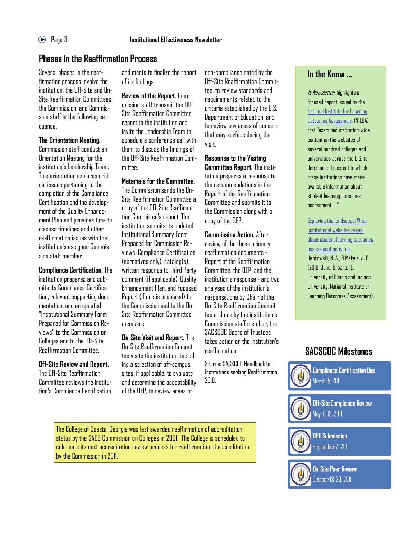# **Phases in the Reaffirmation Process**

Several phases in the reaffirmation process involve the institution, the Off-Site and On-Site Reaffirmation Committees, the Commission, and Commission staff in the following sequence.

# **The Orientation Meeting.**

Commission staff conduct an Orientation Meeting for the institution's Leadership Team. This orientation explores critical issues pertaining to the completion of the Compliance Certification and the development of the Quality Enhancement Plan and provides time to discuss timelines and other reaffirmation issues with the institution's assigned Commission staff member.

**Compliance Certification.** The institution prepares and submits its Compliance Certification, relevant supporting documentation, and an updated "Institutional Summary Form Prepared for Commission Reviews" to the Commission on Colleges and to the Off-Site Reaffirmation Committee.

# **Off-Site Review and Report.**

The Off-Site Reaffirmation Committee reviews the institution's Compliance Certification

and meets to finalize the report of its findings.

**Review of the Report.** Commission staff transmit the Off-Site Reaffirmation Committee report to the institution and invite the Leadership Team to schedule a conference call with them to discuss the findings of the Off-Site Reaffirmation Committee.

# **Materials for the Committee.**

The Commission sends the On-Site Reaffirmation Committee a copy of the Off-Site Reaffirmation Committee's report. The institution submits its updated Institutional Summary Form Prepared for Commission Reviews, Compliance Certification (narratives only), catalog(s), written response to Third Party comment (if applicable), Quality Enhancement Plan, and Focused Report (if one is prepared) to the Commission and to the On-Site Reaffirmation Committee members.

### **On-Site Visit and Report.** The On-Site Reaffirmation Committee visits the institution, including a selection of off-campus

sites, if applicable, to evaluate and determine the acceptability of the QEP, to review areas of

non-compliance noted by the Off-Site Reaffirmation Committee, to review standards and requirements related to the criteria established by the U.S. Department of Education, and to review any areas of concern that may surface during the visit.

**Response to the Visiting Committee Report.** The institution prepares a response to the recommendations in the Report of the Reaffirmation Committee and submits it to the Commission along with a copy of the QEP.

**Commission Action.** After review of the three primary reaffirmation documents - Report of the Reaffirmation Committee, the QEP, and the institution's response - and two analyses of the institution's response, one by Chair of the On-Site Reaffirmation Committee and one by the institution's Commission staff member, the SACSCOC Board of Trustees takes action on the institution's reaffirmation.

Source: SACSCOC Handbook for Institutions seeking Reaffirmation, 2010.

The College of Coastal Georgia was last awarded reaffirmation of accreditation status by the SACS Commission on Colleges in 2001. The College is scheduled to culminate its next accreditation review process for reaffirmation of accreditation by the Commission in 2011.

# **In the Know ...**

IE Newsletter highlights a focused report issued by the [National Institute for Learning](http://learningoutcomeassessment.org/)  [Outcomes Assessment \(](http://learningoutcomeassessment.org/)NILOA) that "examined institution-wide content on the websites of several hundred colleges and universities across the U.S. to determine the extent to which these institutions have made available information about student learning outcomes assessment. …"

[Exploring the landscape: What](http://www.learningoutcomesassessment.org/documents/NILOAwebscanreport.pdf)  i[nstitutional websites reveal](http://www.learningoutcomesassessment.org/documents/NILOAwebscanreport.pdf)  [about student learning outcomes](http://www.learningoutcomesassessment.org/documents/NILOAwebscanreport.pdf)  [assessment activities.](http://www.learningoutcomesassessment.org/documents/NILOAwebscanreport.pdf)  Jankowski, N. A., & Makela, J. P. (2010, June, Urbana, IL: University of Illinois and Indiana University, National Institute of Learning Outcomes Assessment).

# **SACSCOC Milestones**